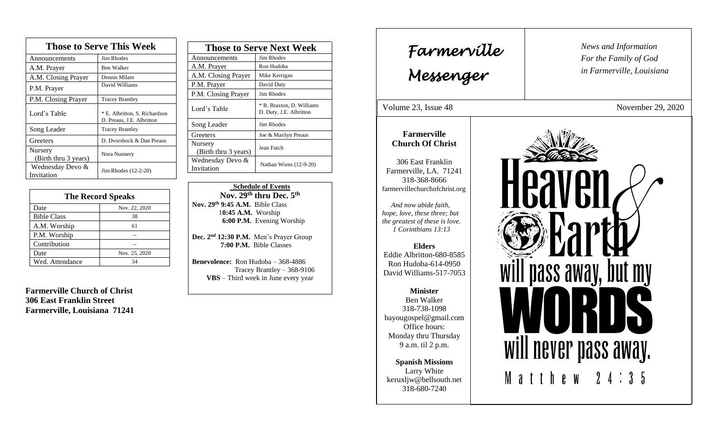| <b>Those to Serve This Week</b> |                                                            |  |
|---------------------------------|------------------------------------------------------------|--|
| Announcements                   | <b>Jim Rhodes</b>                                          |  |
| A.M. Prayer                     | <b>Ben Walker</b>                                          |  |
| A.M. Closing Prayer             | Dennis Milam                                               |  |
| P.M. Prayer                     | David Williams                                             |  |
| P.M. Closing Prayer             | <b>Tracey Brantley</b>                                     |  |
| Lord's Table                    | * E. Albritton, S. Richardson<br>D. Preaus, J.E. Albritton |  |
| Song Leader                     | <b>Tracey Brantley</b>                                     |  |
| Greeters                        | D. Dvorshock & Dan Preaus                                  |  |
| Nursery<br>(Birth thru 3 years) | Nora Nunnery                                               |  |
| Wednesday Devo &<br>Invitation  | Jim Rhodes (12-2-20)                                       |  |

| <b>The Record Speaks</b> |               |
|--------------------------|---------------|
| Date                     | Nov. 22, 2020 |
| <b>Bible Class</b>       | 38            |
| A.M. Worship             | 61            |
| P.M. Worship             |               |
| Contribution             |               |
| Date                     | Nov. 25, 2020 |
| Wed. Attendance          | 34            |

**Farmerville Church of Christ 306 East Franklin Street Farmerville, Louisiana 71241**

| <b>Those to Serve Next Week</b> |                                                      |
|---------------------------------|------------------------------------------------------|
| Announcements                   | Jim Rhodes                                           |
| A.M. Prayer                     | Ron Hudoba                                           |
| A.M. Closing Prayer             | Mike Kerrigan                                        |
| P.M. Prayer                     | David Duty                                           |
| P.M. Closing Prayer             | Jim Rhodes                                           |
| Lord's Table                    | * B. Braxton, D. Williams<br>D. Duty, J.E. Albritton |
| Song Leader                     | Jim Rhodes                                           |
| Greeters                        | Joe & Marilyn Preaus                                 |
| Nursery<br>(Birth thru 3 years) | Jean Futch                                           |
| Wednesday Devo &<br>Invitation  | Nathan Wiens (12-9-20)                               |

 **Schedule of Events Nov. 29 th thru Dec. 5 th Nov. 29 th 9:45 A.M.** Bible Class 1**0:45 A.M.** Worship  **6:00 P.M.** Evening Worship

**Dec. 2 nd 12:30 P.M.** Men's Prayer Group **7:00 P.M.** Bible Classes

**Benevolence:** Ron Hudoba – 368-4886 Tracey Brantley – 368-9106 **VBS** – Third week in June every year